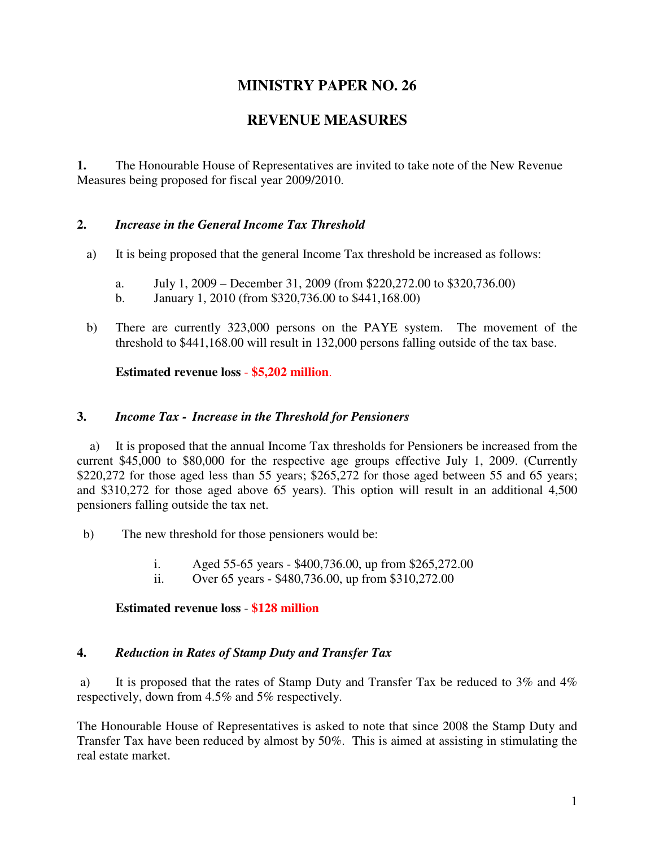# **MINISTRY PAPER NO. 26**

# **REVENUE MEASURES**

**1.** The Honourable House of Representatives are invited to take note of the New Revenue Measures being proposed for fiscal year 2009/2010.

## **2.** *Increase in the General Income Tax Threshold*

- a) It is being proposed that the general Income Tax threshold be increased as follows:
	- a. July 1, 2009 December 31, 2009 (from \$220,272.00 to \$320,736.00)
	- b. January 1, 2010 (from \$320,736.00 to \$441,168.00)
- b) There are currently 323,000 persons on the PAYE system. The movement of the threshold to \$441,168.00 will result in 132,000 persons falling outside of the tax base.

**Estimated revenue loss** - **\$5,202 million**.

#### **3.** *Income Tax - Increase in the Threshold for Pensioners*

 a) It is proposed that the annual Income Tax thresholds for Pensioners be increased from the current \$45,000 to \$80,000 for the respective age groups effective July 1, 2009. (Currently \$220,272 for those aged less than 55 years; \$265,272 for those aged between 55 and 65 years; and \$310,272 for those aged above 65 years). This option will result in an additional 4,500 pensioners falling outside the tax net.

- b) The new threshold for those pensioners would be:
	- i. Aged 55-65 years \$400,736.00, up from \$265,272.00
	- ii. Over 65 years \$480,736.00, up from \$310,272.00

## **Estimated revenue loss** - **\$128 million**

## **4.** *Reduction in Rates of Stamp Duty and Transfer Tax*

 a) It is proposed that the rates of Stamp Duty and Transfer Tax be reduced to 3% and 4% respectively, down from 4.5% and 5% respectively.

The Honourable House of Representatives is asked to note that since 2008 the Stamp Duty and Transfer Tax have been reduced by almost by 50%. This is aimed at assisting in stimulating the real estate market.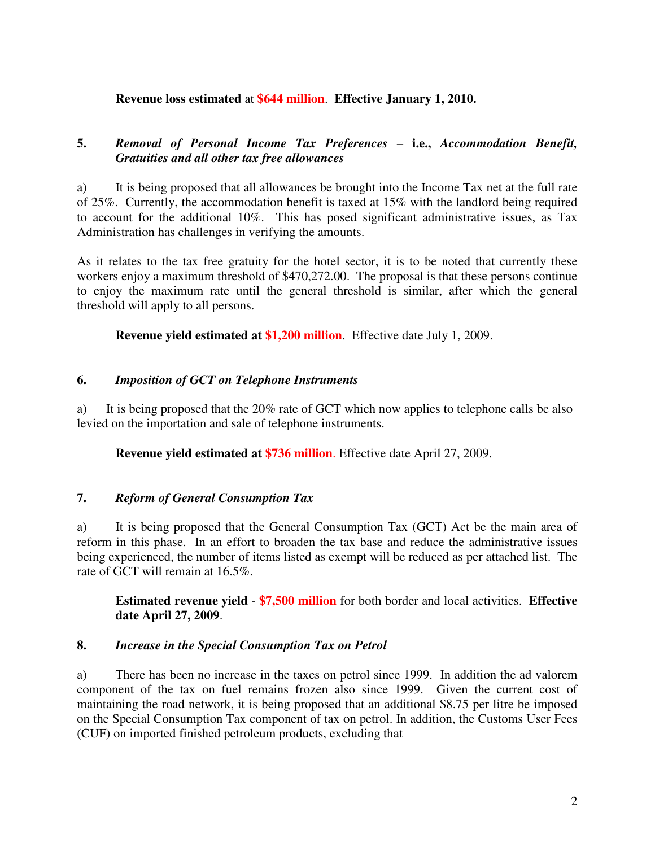#### **Revenue loss estimated** at **\$644 million**. **Effective January 1, 2010.**

## **5.** *Removal of Personal Income Tax Preferences* – **i.e.,** *Accommodation Benefit, Gratuities and all other tax free allowances*

a) It is being proposed that all allowances be brought into the Income Tax net at the full rate of 25%. Currently, the accommodation benefit is taxed at 15% with the landlord being required to account for the additional 10%. This has posed significant administrative issues, as Tax Administration has challenges in verifying the amounts.

As it relates to the tax free gratuity for the hotel sector, it is to be noted that currently these workers enjoy a maximum threshold of \$470,272.00. The proposal is that these persons continue to enjoy the maximum rate until the general threshold is similar, after which the general threshold will apply to all persons.

**Revenue yield estimated at \$1,200 million**. Effective date July 1, 2009.

#### **6.** *Imposition of GCT on Telephone Instruments*

a) It is being proposed that the 20% rate of GCT which now applies to telephone calls be also levied on the importation and sale of telephone instruments.

**Revenue yield estimated at \$736 million**. Effective date April 27, 2009.

## **7.** *Reform of General Consumption Tax*

a) It is being proposed that the General Consumption Tax (GCT) Act be the main area of reform in this phase. In an effort to broaden the tax base and reduce the administrative issues being experienced, the number of items listed as exempt will be reduced as per attached list. The rate of GCT will remain at 16.5%.

**Estimated revenue yield** - **\$7,500 million** for both border and local activities. **Effective date April 27, 2009**.

#### **8.** *Increase in the Special Consumption Tax on Petrol*

a) There has been no increase in the taxes on petrol since 1999. In addition the ad valorem component of the tax on fuel remains frozen also since 1999. Given the current cost of maintaining the road network, it is being proposed that an additional \$8.75 per litre be imposed on the Special Consumption Tax component of tax on petrol. In addition, the Customs User Fees (CUF) on imported finished petroleum products, excluding that